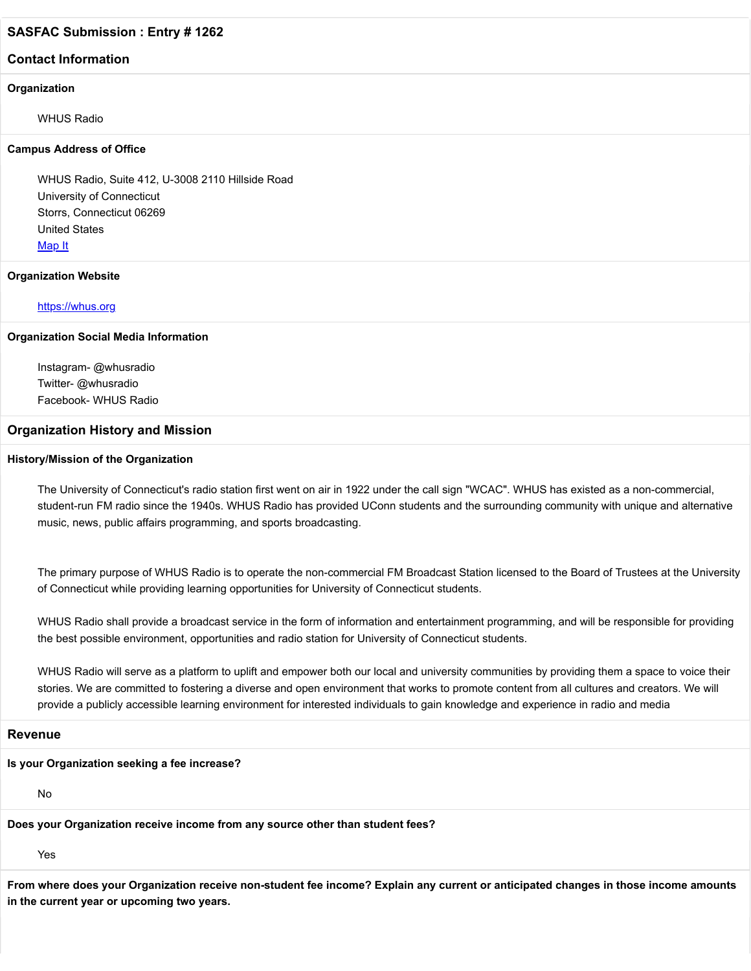# **Contact Information**

#### **Organization**

WHUS Radio

#### **Campus Address of Office**

WHUS Radio, Suite 412, U-3008 2110 Hillside Road University of Connecticut Storrs, Connecticut 06269 United States [Map It](http://maps.google.com/maps?q=WHUS+Radio%2C+Suite+412%2C+U-3008+2110+Hillside+Road+University+of+Connecticut+Storrs%2C+Connecticut+06269+United+States)

#### **Organization Website**

#### [https://whus.org](https://whus.org/)

#### **Organization Social Media Information**

Instagram- @whusradio Twitter- @whusradio Facebook- WHUS Radio

#### **Organization History and Mission**

#### **History/Mission of the Organization**

The University of Connecticut's radio station first went on air in 1922 under the call sign "WCAC". WHUS has existed as a non-commercial, student-run FM radio since the 1940s. WHUS Radio has provided UConn students and the surrounding community with unique and alternative music, news, public affairs programming, and sports broadcasting.

The primary purpose of WHUS Radio is to operate the non-commercial FM Broadcast Station licensed to the Board of Trustees at the University of Connecticut while providing learning opportunities for University of Connecticut students.

WHUS Radio shall provide a broadcast service in the form of information and entertainment programming, and will be responsible for providing the best possible environment, opportunities and radio station for University of Connecticut students.

WHUS Radio will serve as a platform to uplift and empower both our local and university communities by providing them a space to voice their stories. We are committed to fostering a diverse and open environment that works to promote content from all cultures and creators. We will provide a publicly accessible learning environment for interested individuals to gain knowledge and experience in radio and media

# **Revenue**

# **Is your Organization seeking a fee increase?**

No

**Does your Organization receive income from any source other than student fees?**

Yes

**From where does your Organization receive non-student fee income? Explain any current or anticipated changes in those income amounts in the current year or upcoming two years.**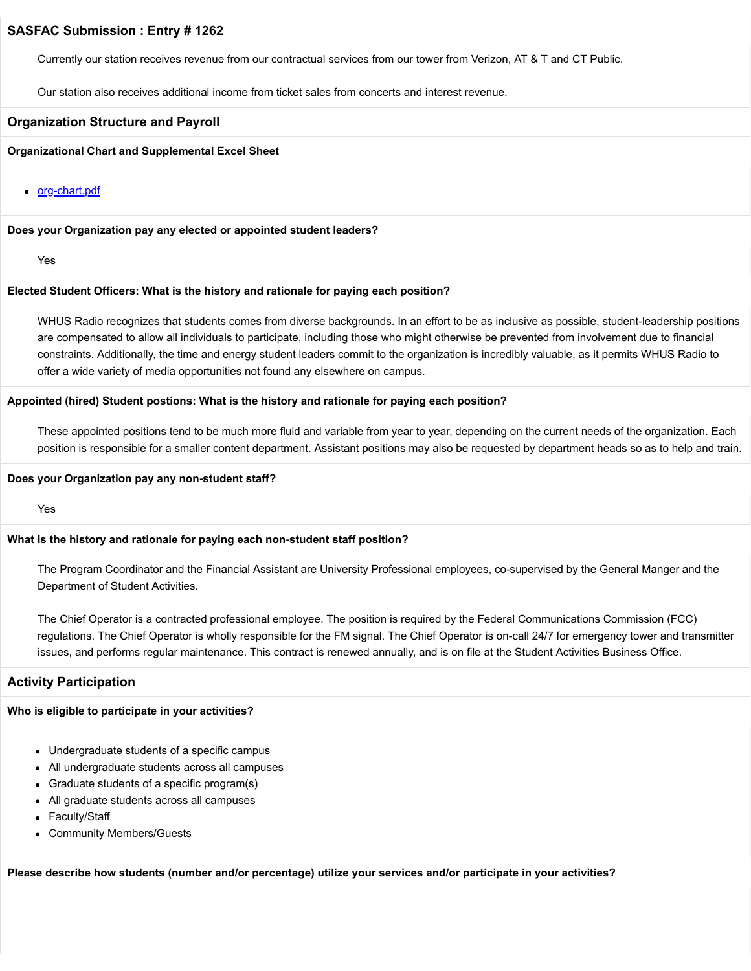Currently our station receives revenue from our contractual services from our tower from Verizon, AT & T and CT Public.

Our station also receives additional income from ticket sales from concerts and interest revenue.

#### **Organization Structure and Payroll**

#### **Organizational Chart and Supplemental Excel Sheet**

• [org-chart.pdf](https://trusteeorgsupport.uconn.edu/index.php?gf-download=2022%2F02%2Forg-chart.pdf&form-id=18&field-id=13&hash=6c7432071b1d6f32715a07cd7f3bddad546d00e889e160e92c542a9eb44cf5e5)

#### **Does your Organization pay any elected or appointed student leaders?**

Yes

#### **Elected Student Officers: What is the history and rationale for paying each position?**

WHUS Radio recognizes that students comes from diverse backgrounds. In an effort to be as inclusive as possible, student-leadership positions are compensated to allow all individuals to participate, including those who might otherwise be prevented from involvement due to financial constraints. Additionally, the time and energy student leaders commit to the organization is incredibly valuable, as it permits WHUS Radio to offer a wide variety of media opportunities not found any elsewhere on campus.

#### **Appointed (hired) Student postions: What is the history and rationale for paying each position?**

These appointed positions tend to be much more fluid and variable from year to year, depending on the current needs of the organization. Each position is responsible for a smaller content department. Assistant positions may also be requested by department heads so as to help and train.

#### **Does your Organization pay any non-student staff?**

Yes

#### **What is the history and rationale for paying each non-student staff position?**

The Program Coordinator and the Financial Assistant are University Professional employees, co-supervised by the General Manger and the Department of Student Activities.

The Chief Operator is a contracted professional employee. The position is required by the Federal Communications Commission (FCC) regulations. The Chief Operator is wholly responsible for the FM signal. The Chief Operator is on-call 24/7 for emergency tower and transmitter issues, and performs regular maintenance. This contract is renewed annually, and is on file at the Student Activities Business Office.

#### **Activity Participation**

#### **Who is eligible to participate in your activities?**

- Undergraduate students of a specific campus
- All undergraduate students across all campuses
- Graduate students of a specific program(s)
- All graduate students across all campuses
- Faculty/Staff  $\bullet$
- Community Members/Guests

**Please describe how students (number and/or percentage) utilize your services and/or participate in your activities?**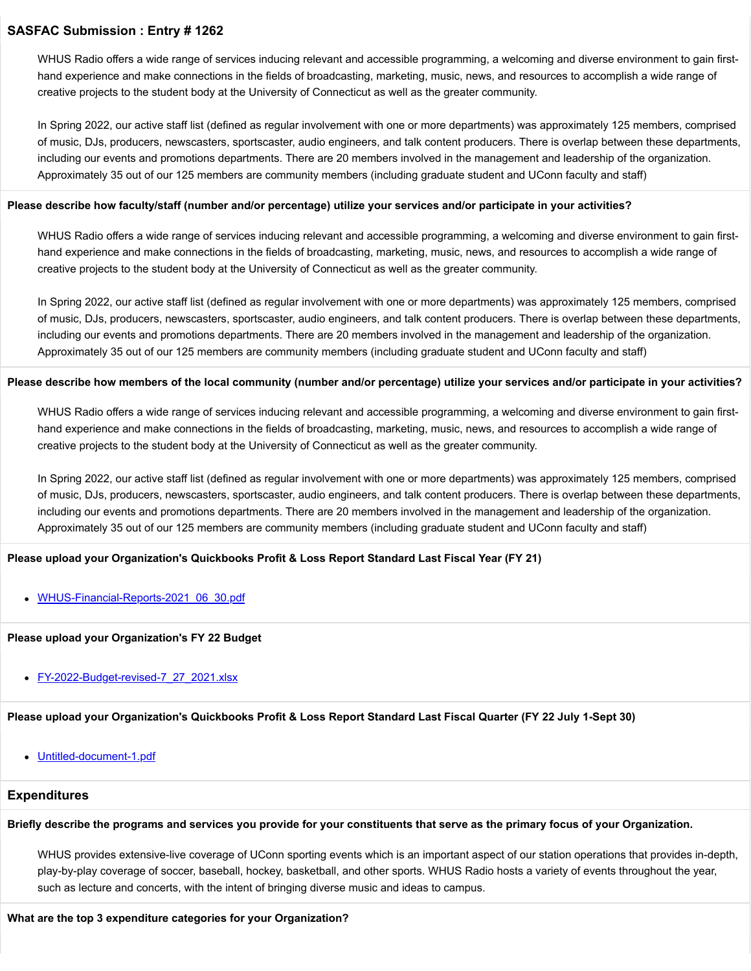WHUS Radio offers a wide range of services inducing relevant and accessible programming, a welcoming and diverse environment to gain firsthand experience and make connections in the fields of broadcasting, marketing, music, news, and resources to accomplish a wide range of creative projects to the student body at the University of Connecticut as well as the greater community.

In Spring 2022, our active staff list (defined as regular involvement with one or more departments) was approximately 125 members, comprised of music, DJs, producers, newscasters, sportscaster, audio engineers, and talk content producers. There is overlap between these departments, including our events and promotions departments. There are 20 members involved in the management and leadership of the organization. Approximately 35 out of our 125 members are community members (including graduate student and UConn faculty and staff)

#### **Please describe how faculty/staff (number and/or percentage) utilize your services and/or participate in your activities?**

WHUS Radio offers a wide range of services inducing relevant and accessible programming, a welcoming and diverse environment to gain firsthand experience and make connections in the fields of broadcasting, marketing, music, news, and resources to accomplish a wide range of creative projects to the student body at the University of Connecticut as well as the greater community.

In Spring 2022, our active staff list (defined as regular involvement with one or more departments) was approximately 125 members, comprised of music, DJs, producers, newscasters, sportscaster, audio engineers, and talk content producers. There is overlap between these departments, including our events and promotions departments. There are 20 members involved in the management and leadership of the organization. Approximately 35 out of our 125 members are community members (including graduate student and UConn faculty and staff)

#### **Please describe how members of the local community (number and/or percentage) utilize your services and/or participate in your activities?**

WHUS Radio offers a wide range of services inducing relevant and accessible programming, a welcoming and diverse environment to gain firsthand experience and make connections in the fields of broadcasting, marketing, music, news, and resources to accomplish a wide range of creative projects to the student body at the University of Connecticut as well as the greater community.

In Spring 2022, our active staff list (defined as regular involvement with one or more departments) was approximately 125 members, comprised of music, DJs, producers, newscasters, sportscaster, audio engineers, and talk content producers. There is overlap between these departments, including our events and promotions departments. There are 20 members involved in the management and leadership of the organization. Approximately 35 out of our 125 members are community members (including graduate student and UConn faculty and staff)

# **Please upload your Organization's Quickbooks Profit & Loss Report Standard Last Fiscal Year (FY 21)**

[WHUS-Financial-Reports-2021\\_06\\_30.pdf](https://trusteeorgsupport.uconn.edu/index.php?gf-download=2022%2F02%2FWHUS-Financial-Reports-2021_06_30.pdf&form-id=18&field-id=62&hash=6afbaf9ec10ffef9d20e95c871055759e16cda5d5dedd5d5b71293dba1f4918a)

# **Please upload your Organization's FY 22 Budget**

• [FY-2022-Budget-revised-7\\_27\\_2021.xlsx](https://trusteeorgsupport.uconn.edu/index.php?gf-download=2022%2F02%2FFY-2022-Budget-revised-7_27_2021.xlsx&form-id=18&field-id=65&hash=0e9b8d872a364ed56949a973670318145ef1384ce60e45d60cc87929f5dbf2ea)

# **Please upload your Organization's Quickbooks Profit & Loss Report Standard Last Fiscal Quarter (FY 22 July 1-Sept 30)**

[Untitled-document-1.pdf](https://trusteeorgsupport.uconn.edu/index.php?gf-download=2022%2F02%2FUntitled-document-1.pdf&form-id=18&field-id=64&hash=f7f76bb0e76f2e024c8d3d00713aea7335ca12bb76baf70ccab341173b9cb22f)

# **Expenditures**

#### **Briefly describe the programs and services you provide for your constituents that serve as the primary focus of your Organization.**

WHUS provides extensive-live coverage of UConn sporting events which is an important aspect of our station operations that provides in-depth, play-by-play coverage of soccer, baseball, hockey, basketball, and other sports. WHUS Radio hosts a variety of events throughout the year, such as lecture and concerts, with the intent of bringing diverse music and ideas to campus.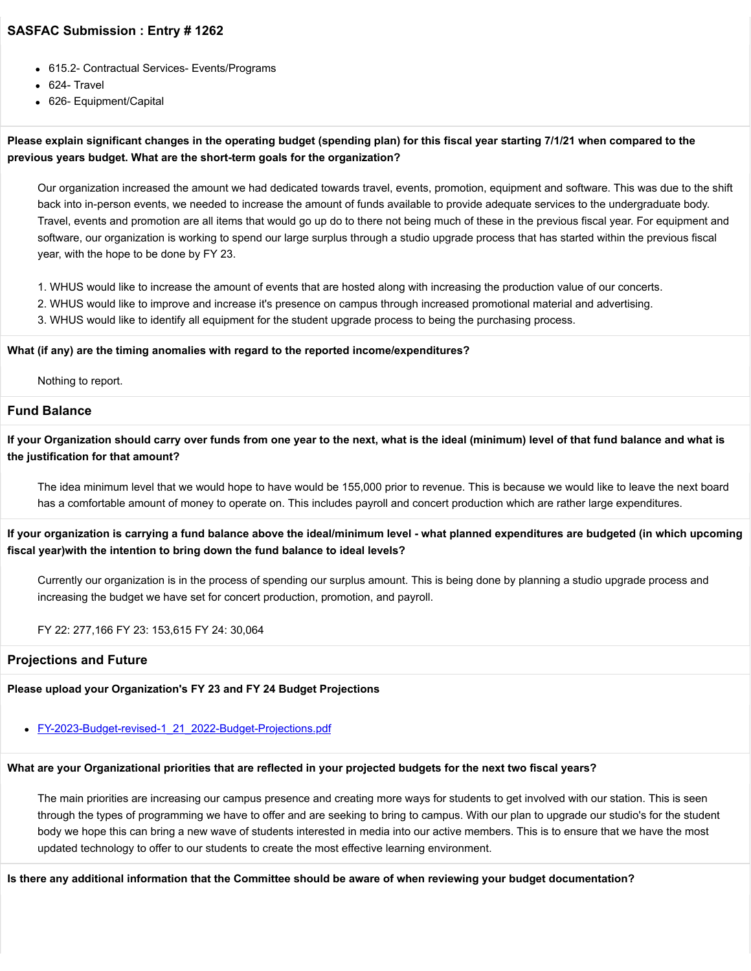- 615.2- Contractual Services- Events/Programs
- 624- Travel
- 626- Equipment/Capital

# **Please explain significant changes in the operating budget (spending plan) for this fiscal year starting 7/1/21 when compared to the previous years budget. What are the short-term goals for the organization?**

Our organization increased the amount we had dedicated towards travel, events, promotion, equipment and software. This was due to the shift back into in-person events, we needed to increase the amount of funds available to provide adequate services to the undergraduate body. Travel, events and promotion are all items that would go up do to there not being much of these in the previous fiscal year. For equipment and software, our organization is working to spend our large surplus through a studio upgrade process that has started within the previous fiscal year, with the hope to be done by FY 23.

- 1. WHUS would like to increase the amount of events that are hosted along with increasing the production value of our concerts.
- 2. WHUS would like to improve and increase it's presence on campus through increased promotional material and advertising.
- 3. WHUS would like to identify all equipment for the student upgrade process to being the purchasing process.

#### **What (if any) are the timing anomalies with regard to the reported income/expenditures?**

Nothing to report.

# **Fund Balance**

**If your Organization should carry over funds from one year to the next, what is the ideal (minimum) level of that fund balance and what is the justification for that amount?**

The idea minimum level that we would hope to have would be 155,000 prior to revenue. This is because we would like to leave the next board has a comfortable amount of money to operate on. This includes payroll and concert production which are rather large expenditures.

**If your organization is carrying a fund balance above the ideal/minimum level - what planned expenditures are budgeted (in which upcoming fiscal year)with the intention to bring down the fund balance to ideal levels?**

Currently our organization is in the process of spending our surplus amount. This is being done by planning a studio upgrade process and increasing the budget we have set for concert production, promotion, and payroll.

FY 22: 277,166 FY 23: 153,615 FY 24: 30,064

# **Projections and Future**

#### **Please upload your Organization's FY 23 and FY 24 Budget Projections**

[FY-2023-Budget-revised-1\\_21\\_2022-Budget-Projections.pdf](https://trusteeorgsupport.uconn.edu/index.php?gf-download=2022%2F02%2FFY-2023-Budget-revised-1_21_2022-Budget-Projections.pdf&form-id=18&field-id=63&hash=7a46d3d19b85fdf3694268742bfd0fca85586f233853d335eb64d211450a3ad5)

# **What are your Organizational priorities that are reflected in your projected budgets for the next two fiscal years?**

The main priorities are increasing our campus presence and creating more ways for students to get involved with our station. This is seen through the types of programming we have to offer and are seeking to bring to campus. With our plan to upgrade our studio's for the student body we hope this can bring a new wave of students interested in media into our active members. This is to ensure that we have the most updated technology to offer to our students to create the most effective learning environment.

**Is there any additional information that the Committee should be aware of when reviewing your budget documentation?**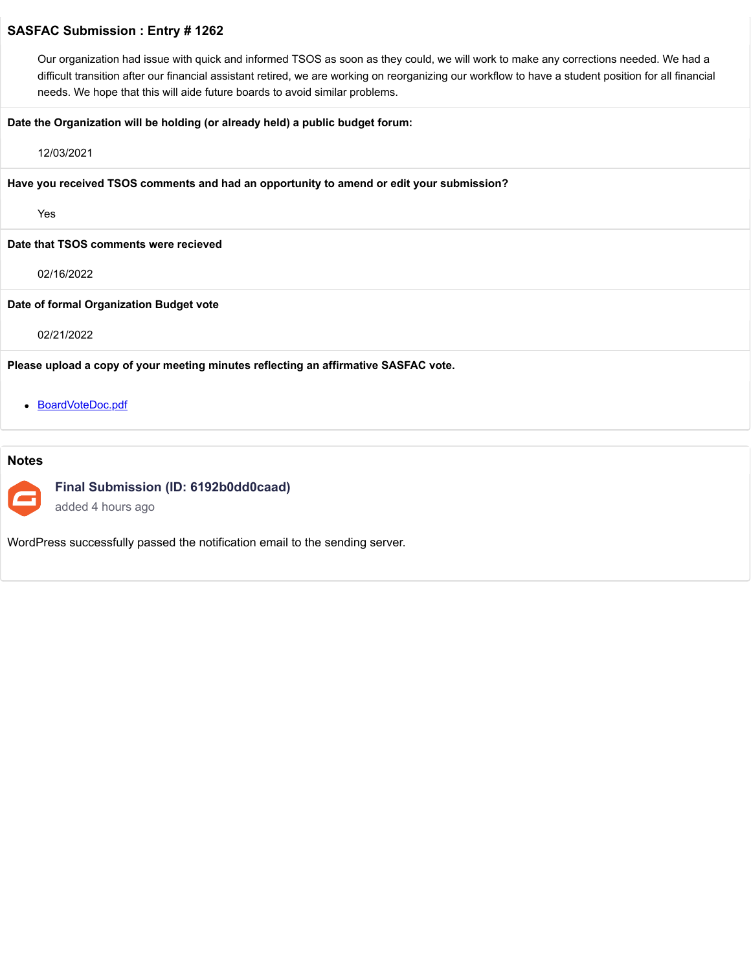Our organization had issue with quick and informed TSOS as soon as they could, we will work to make any corrections needed. We had a difficult transition after our financial assistant retired, we are working on reorganizing our workflow to have a student position for all financial needs. We hope that this will aide future boards to avoid similar problems.

#### **Date the Organization will be holding (or already held) a public budget forum:**

#### 12/03/2021

**Have you received TSOS comments and had an opportunity to amend or edit your submission?**

Yes

**Date that TSOS comments were recieved**

02/16/2022

#### **Date of formal Organization Budget vote**

02/21/2022

**Please upload a copy of your meeting minutes reflecting an affirmative SASFAC vote.**

• [BoardVoteDoc.pdf](https://trusteeorgsupport.uconn.edu/index.php?gf-download=2022%2F02%2FBoardVoteDoc.pdf&form-id=18&field-id=57&hash=ff9687a3244a743b2dff88a25159a6f1f88243a890d881e99f9b750c82a88dff)

# **Notes**



**Final Submission (ID: 6192b0dd0caad)**

added 4 hours ago

WordPress successfully passed the notification email to the sending server.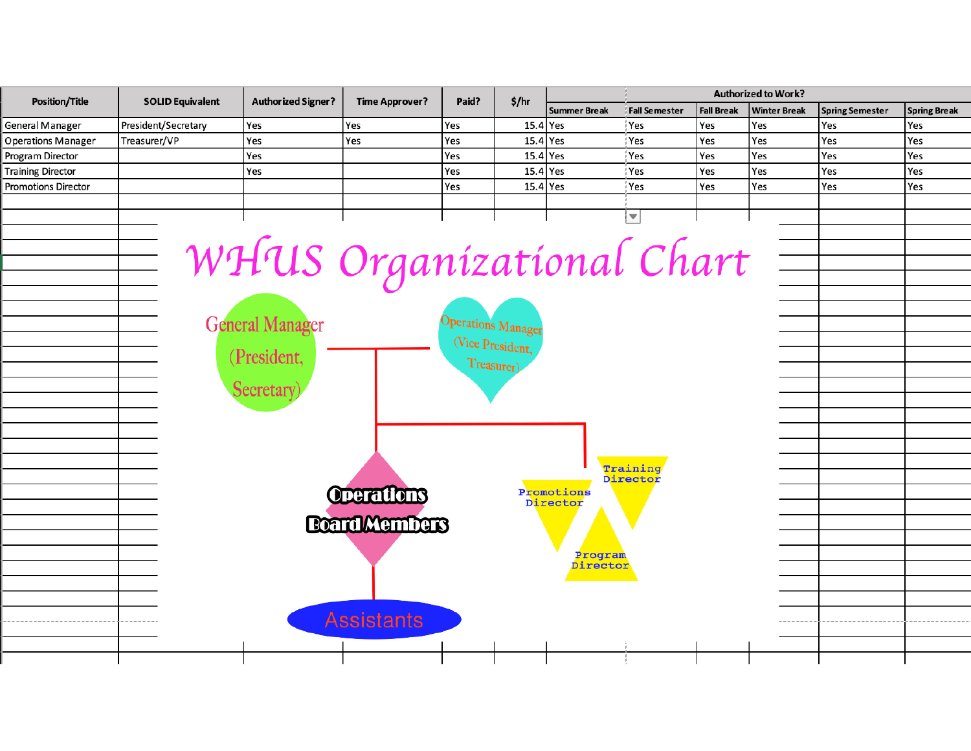| <b>Position/Title</b>      | <b>SOLID Equivalent</b>                       | <b>Authorized Signer?</b> | <b>Time Approver?</b> | Paid?                     | \$/hr      | <b>Authorized to Work?</b> |                         |                   |                     |                        |                     |  |
|----------------------------|-----------------------------------------------|---------------------------|-----------------------|---------------------------|------------|----------------------------|-------------------------|-------------------|---------------------|------------------------|---------------------|--|
|                            |                                               |                           |                       |                           |            | <b>Summer Break</b>        | <b>Fall Semester</b>    | <b>Fall Break</b> | <b>Winter Break</b> | <b>Spring Semester</b> | <b>Spring Break</b> |  |
| <b>General Manager</b>     | President/Secretary                           | Yes                       | Yes                   | Yes                       | $15.4$ Yes |                            | Yes                     | Yes               | Yes                 | Yes                    | Yes                 |  |
| <b>Operations Manager</b>  | Treasurer/VP                                  | Yes                       | Yes                   | Yes                       | 15.4       | Yes                        | Yes                     | Yes               | Yes                 | Yes                    | Yes                 |  |
| Program Director           |                                               | Yes                       |                       | Yes                       | $15.4$ Yes |                            | Yes                     | Yes               | Yes                 | Yes                    | Yes                 |  |
| <b>Training Director</b>   |                                               | Yes                       |                       | Yes                       | $15.4$ Yes |                            | Yes                     | Yes               | Yes                 | Yes                    | Yes                 |  |
| <b>Promotions Director</b> |                                               |                           |                       | Yes                       | $15.4$ Yes |                            | Yes                     | Yes               | Yes                 | Yes                    | Yes                 |  |
|                            |                                               |                           |                       |                           |            |                            |                         |                   |                     |                        |                     |  |
|                            |                                               |                           |                       |                           |            |                            | $\overline{\mathbf{v}}$ |                   |                     |                        |                     |  |
|                            |                                               |                           |                       |                           |            |                            |                         |                   |                     |                        |                     |  |
|                            |                                               | WHUS Organizational Chart |                       |                           |            |                            |                         |                   |                     |                        |                     |  |
|                            |                                               |                           |                       |                           |            |                            |                         |                   |                     |                        |                     |  |
|                            |                                               |                           |                       |                           |            |                            |                         |                   |                     |                        |                     |  |
|                            |                                               |                           |                       |                           |            |                            |                         |                   |                     |                        |                     |  |
|                            |                                               |                           |                       |                           |            |                            |                         |                   |                     |                        |                     |  |
|                            |                                               | <b>General Manager</b>    |                       | <b>Operations Manager</b> |            |                            |                         |                   |                     |                        |                     |  |
|                            |                                               |                           |                       |                           |            |                            |                         |                   |                     |                        |                     |  |
|                            | (Vice President,<br>(President,<br>Treasurer) |                           |                       |                           |            |                            |                         |                   |                     |                        |                     |  |
|                            |                                               |                           |                       |                           |            |                            |                         |                   |                     |                        |                     |  |
|                            |                                               | Secretary)                |                       |                           |            |                            |                         |                   |                     |                        |                     |  |
|                            |                                               |                           |                       |                           |            |                            |                         |                   |                     |                        |                     |  |
|                            |                                               |                           |                       |                           |            |                            |                         |                   |                     |                        |                     |  |
|                            |                                               |                           |                       |                           |            |                            |                         |                   |                     |                        |                     |  |
|                            |                                               |                           |                       |                           |            |                            |                         |                   |                     |                        |                     |  |
|                            |                                               |                           |                       |                           |            |                            | Training                |                   |                     |                        |                     |  |
|                            |                                               |                           |                       |                           |            | Promotions                 | Director                |                   |                     |                        |                     |  |
|                            | Operations                                    |                           |                       |                           |            |                            |                         |                   |                     |                        |                     |  |
|                            |                                               |                           |                       | Director                  |            |                            |                         |                   |                     |                        |                     |  |
|                            |                                               |                           | <b>Board Members</b>  |                           |            |                            |                         |                   |                     |                        |                     |  |
|                            | Program                                       |                           |                       |                           |            |                            |                         |                   |                     |                        |                     |  |
|                            |                                               |                           |                       |                           |            |                            |                         |                   |                     |                        |                     |  |
|                            |                                               |                           |                       |                           |            | Director                   |                         |                   |                     |                        |                     |  |
|                            |                                               |                           |                       |                           |            |                            |                         |                   |                     |                        |                     |  |
|                            |                                               |                           |                       |                           |            |                            |                         |                   |                     |                        |                     |  |
| Assistants                 |                                               |                           |                       |                           |            |                            |                         |                   |                     |                        |                     |  |
|                            |                                               |                           |                       |                           |            |                            |                         |                   |                     |                        |                     |  |
|                            |                                               |                           |                       |                           |            |                            |                         |                   |                     |                        |                     |  |
|                            |                                               |                           |                       |                           |            |                            |                         |                   |                     |                        |                     |  |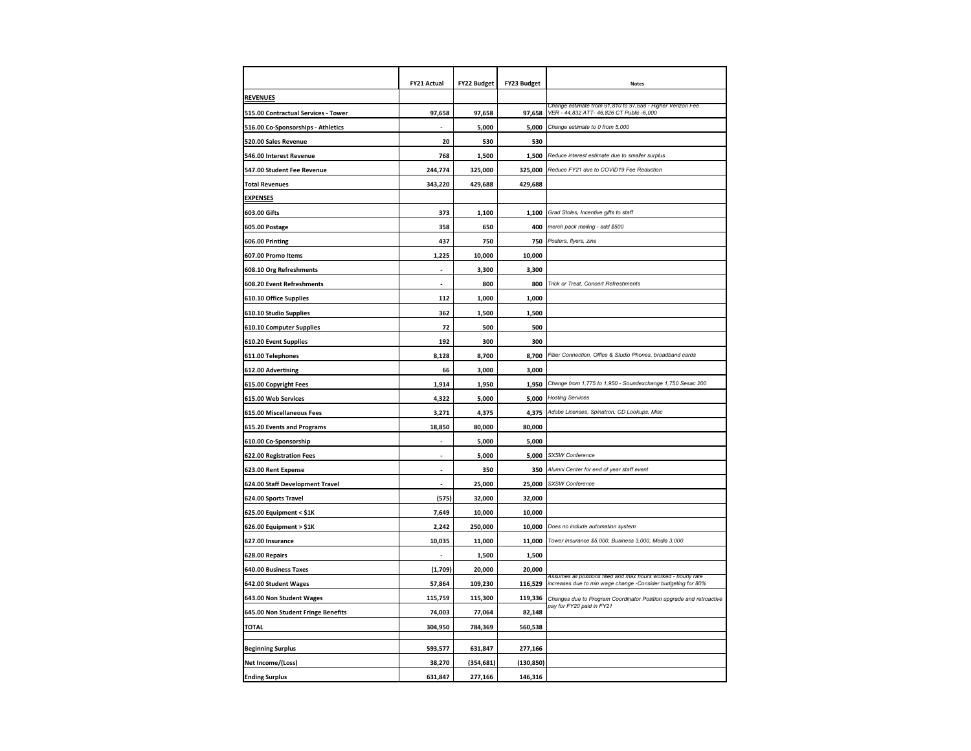|                                     | FY21 Actual              | <b>FY22 Budget</b> | <b>FY23 Budget</b> | <b>Notes</b>                                                                                                                    |
|-------------------------------------|--------------------------|--------------------|--------------------|---------------------------------------------------------------------------------------------------------------------------------|
| <b>REVENUES</b>                     |                          |                    |                    |                                                                                                                                 |
| 515.00 Contractual Services - Tower | 97,658                   | 97,658             | 97,658             | Change estimate from 91.810 to 97.658 - Higher Verizon Fee<br>VER - 44,832 ATT- 46,826 CT Public -6,000                         |
| 516.00 Co-Sponsorships - Athletics  |                          | 5,000              | 5,000              | Change estimate to 0 from 5,000                                                                                                 |
| 520.00 Sales Revenue                | 20                       | 530                | 530                |                                                                                                                                 |
| 546.00 Interest Revenue             | 768                      | 1,500              | 1,500              | Reduce interest estimate due to smaller surplus                                                                                 |
| 547.00 Student Fee Revenue          | 244,774                  | 325,000            | 325,000            | Reduce FY21 due to COVID19 Fee Reduction                                                                                        |
| <b>Total Revenues</b>               | 343,220                  | 429,688            | 429,688            |                                                                                                                                 |
| <b>EXPENSES</b>                     |                          |                    |                    |                                                                                                                                 |
| 603.00 Gifts                        | 373                      | 1,100              | 1,100              | Grad Stoles, Incentive gifts to staff                                                                                           |
| 605.00 Postage                      | 358                      | 650                | 400                | merch pack mailing - add \$500                                                                                                  |
| 606.00 Printing                     | 437                      | 750                | 750                | Posters, flyers, zine                                                                                                           |
| 607.00 Promo Items                  | 1,225                    | 10,000             | 10,000             |                                                                                                                                 |
| 608.10 Org Refreshments             |                          | 3,300              | 3,300              |                                                                                                                                 |
| 608.20 Event Refreshments           | $\overline{\phantom{a}}$ | 800                | 800                | Trick or Treat, Concert Refreshments                                                                                            |
| 610.10 Office Supplies              | 112                      | 1,000              | 1,000              |                                                                                                                                 |
| 610.10 Studio Supplies              | 362                      | 1,500              | 1,500              |                                                                                                                                 |
| 610.10 Computer Supplies            | 72                       | 500                | 500                |                                                                                                                                 |
| 610.20 Event Supplies               | 192                      | 300                | 300                |                                                                                                                                 |
| 611.00 Telephones                   | 8,128                    | 8,700              | 8,700              | Fiber Connection, Office & Studio Phones, broadband cards                                                                       |
| 612.00 Advertising                  | 66                       | 3,000              | 3,000              |                                                                                                                                 |
| 615.00 Copyright Fees               | 1,914                    | 1,950              | 1,950              | Change from 1,775 to 1,950 - Soundexchange 1,750 Sesac 200                                                                      |
| 615.00 Web Services                 | 4,322                    | 5,000              | 5,000              | <b>Hosting Services</b>                                                                                                         |
| 615.00 Miscellaneous Fees           | 3,271                    | 4,375              | 4,375              | Adobe Licenses, Spinatron, CD Lookups, Misc                                                                                     |
| 615.20 Events and Programs          | 18,850                   | 80,000             | 80,000             |                                                                                                                                 |
| 610.00 Co-Sponsorship               |                          | 5,000              | 5,000              |                                                                                                                                 |
| 622.00 Registration Fees            |                          | 5,000              | 5,000              | SXSW Conference                                                                                                                 |
| 623.00 Rent Expense                 |                          | 350                | 350                | Alumni Center for end of year staff event                                                                                       |
| 624.00 Staff Development Travel     |                          | 25,000             | 25,000             | SXSW Conference                                                                                                                 |
| 624.00 Sports Travel                | (575)                    | 32,000             | 32,000             |                                                                                                                                 |
| 625.00 Equipment < \$1K             | 7,649                    | 10,000             | 10,000             |                                                                                                                                 |
| 626.00 Equipment > \$1K             | 2,242                    | 250,000            | 10,000             | Does no include automation system                                                                                               |
| 627.00 Insurance                    | 10,035                   | 11,000             | 11,000             | Tower Insurance \$5,000, Business 3,000, Media 3,000                                                                            |
| 628.00 Repairs                      |                          | 1,500              | 1,500              |                                                                                                                                 |
| 640.00 Business Taxes               | (1,709)                  | 20,000             | 20,000             |                                                                                                                                 |
| 642.00 Student Wages                | 57,864                   | 109,230            | 116,529            | Assumes all positions filled and max hours worked - hourly rate<br>increases due to min wage change -Consider budgeting for 80% |
| 643.00 Non Student Wages            | 115,759                  | 115,300            | 119,336            | Changes due to Program Coordinator Position upgrade and retroactive                                                             |
| 645.00 Non Student Fringe Benefits  | 74,003                   | 77,064             | 82,148             | pay for FY20 paid in FY21                                                                                                       |
| TOTAL                               | 304,950                  | 784,369            | 560,538            |                                                                                                                                 |
|                                     |                          |                    |                    |                                                                                                                                 |
| Beginning Surplus                   | 593,577                  | 631,847            | 277,166            |                                                                                                                                 |
| Net Income/(Loss)                   | 38,270                   | (354, 681)         | (130, 850)         |                                                                                                                                 |
| <b>Ending Surplus</b>               | 631,847                  | 277,166            | 146,316            |                                                                                                                                 |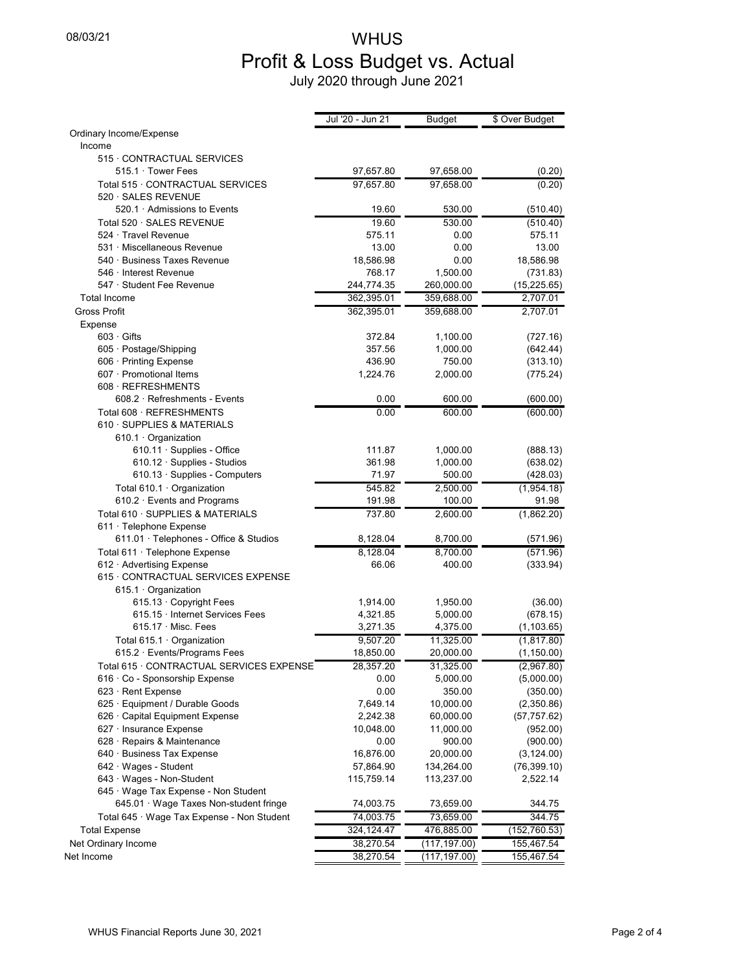# 08/03/21 WHUS Profit & Loss Budget vs. Actual July 2020 through June 2021

|                                                            | Jul '20 - Jun 21 | Budget       | \$ Over Budget |
|------------------------------------------------------------|------------------|--------------|----------------|
| Ordinary Income/Expense                                    |                  |              |                |
| Income                                                     |                  |              |                |
| 515 · CONTRACTUAL SERVICES                                 |                  |              |                |
| 515.1 · Tower Fees                                         | 97,657.80        | 97,658.00    | (0.20)         |
| Total 515 · CONTRACTUAL SERVICES<br>520 · SALES REVENUE    | 97,657.80        | 97,658.00    | (0.20)         |
| 520.1 Admissions to Events                                 | 19.60            | 530.00       | (510.40)       |
| Total 520 · SALES REVENUE                                  | 19.60            | 530.00       | (510.40)       |
| 524 · Travel Revenue                                       | 575.11           | 0.00         | 575.11         |
| 531 · Miscellaneous Revenue                                | 13.00            | 0.00         | 13.00          |
| 540 · Business Taxes Revenue                               | 18,586.98        | 0.00         | 18,586.98      |
| 546 · Interest Revenue                                     | 768.17           | 1,500.00     | (731.83)       |
| 547 · Student Fee Revenue                                  | 244,774.35       | 260,000.00   | (15, 225.65)   |
| <b>Total Income</b>                                        | 362,395.01       | 359,688.00   | 2,707.01       |
| <b>Gross Profit</b>                                        | 362,395.01       | 359,688.00   | 2,707.01       |
| Expense                                                    |                  |              |                |
| $603 \cdot$ Gifts                                          | 372.84           | 1,100.00     | (727.16)       |
| 605 · Postage/Shipping                                     | 357.56           | 1,000.00     | (642.44)       |
| 606 · Printing Expense                                     | 436.90           | 750.00       | (313.10)       |
| 607 · Promotional Items                                    | 1,224.76         | 2,000.00     | (775.24)       |
| 608 · REFRESHMENTS                                         |                  |              |                |
| $608.2 \cdot$ Refreshments - Events                        | 0.00             | 600.00       | (600.00)       |
| Total 608 · REFRESHMENTS                                   | 0.00             | 600.00       | (600.00)       |
| 610 · SUPPLIES & MATERIALS                                 |                  |              |                |
| 610.1 · Organization                                       |                  |              |                |
| 610.11 · Supplies - Office                                 | 111.87           | 1,000.00     | (888.13)       |
| 610.12 · Supplies - Studios                                | 361.98           | 1,000.00     | (638.02)       |
| 610.13 · Supplies - Computers                              | 71.97            | 500.00       | (428.03)       |
| Total 610.1 · Organization                                 | 545.82           | 2,500.00     | (1,954.18)     |
| 610.2 · Events and Programs                                | 191.98           | 100.00       | 91.98          |
| Total 610 · SUPPLIES & MATERIALS                           | 737.80           | 2,600.00     | (1,862.20)     |
| 611 · Telephone Expense                                    |                  |              |                |
| $611.01 \cdot$ Telephones - Office & Studios               | 8,128.04         | 8,700.00     | (571.96)       |
| Total 611 · Telephone Expense                              | 8,128.04         | 8,700.00     | (571.96)       |
| 612 · Advertising Expense                                  | 66.06            | 400.00       | (333.94)       |
| 615 · CONTRACTUAL SERVICES EXPENSE<br>615.1 · Organization |                  |              |                |
| 615.13 Copyright Fees                                      | 1,914.00         | 1,950.00     | (36.00)        |
| 615.15 · Internet Services Fees                            | 4,321.85         | 5,000.00     | (678.15)       |
| $615.17 \cdot$ Misc. Fees                                  | 3,271.35         | 4,375.00     | (1, 103.65)    |
| Total 615.1 · Organization                                 | 9,507.20         | 11,325.00    | (1,817.80)     |
| 615.2 · Events/Programs Fees                               | 18,850.00        | 20,000.00    | (1, 150.00)    |
| Total 615 · CONTRACTUAL SERVICES EXPENSE                   | 28,357.20        | 31,325.00    | (2,967.80)     |
| 616 · Co - Sponsorship Expense                             | 0.00             | 5,000.00     | (5,000.00)     |
| 623 · Rent Expense                                         | 0.00             | 350.00       | (350.00)       |
| 625 · Equipment / Durable Goods                            | 7,649.14         | 10,000.00    | (2,350.86)     |
| 626 · Capital Equipment Expense                            | 2,242.38         | 60,000.00    | (57, 757.62)   |
| 627 · Insurance Expense                                    | 10,048.00        | 11,000.00    | (952.00)       |
| $628 \cdot$ Repairs & Maintenance                          | 0.00             | 900.00       | (900.00)       |
| 640 · Business Tax Expense                                 | 16,876.00        | 20,000.00    | (3, 124.00)    |
| 642 · Wages - Student                                      | 57,864.90        | 134,264.00   | (76, 399.10)   |
| 643 · Wages - Non-Student                                  | 115,759.14       | 113,237.00   | 2,522.14       |
| 645 · Wage Tax Expense - Non Student                       |                  |              |                |
| 645.01 · Wage Taxes Non-student fringe                     | 74,003.75        | 73,659.00    | 344.75         |
| Total 645 · Wage Tax Expense - Non Student                 | 74,003.75        | 73,659.00    | 344.75         |
| <b>Total Expense</b>                                       | 324,124.47       | 476,885.00   | (152,760.53)   |
| Net Ordinary Income                                        | 38,270.54        | (117,197.00) | 155,467.54     |
| Net Income                                                 | 38,270.54        | (117,197.00) | 155,467.54     |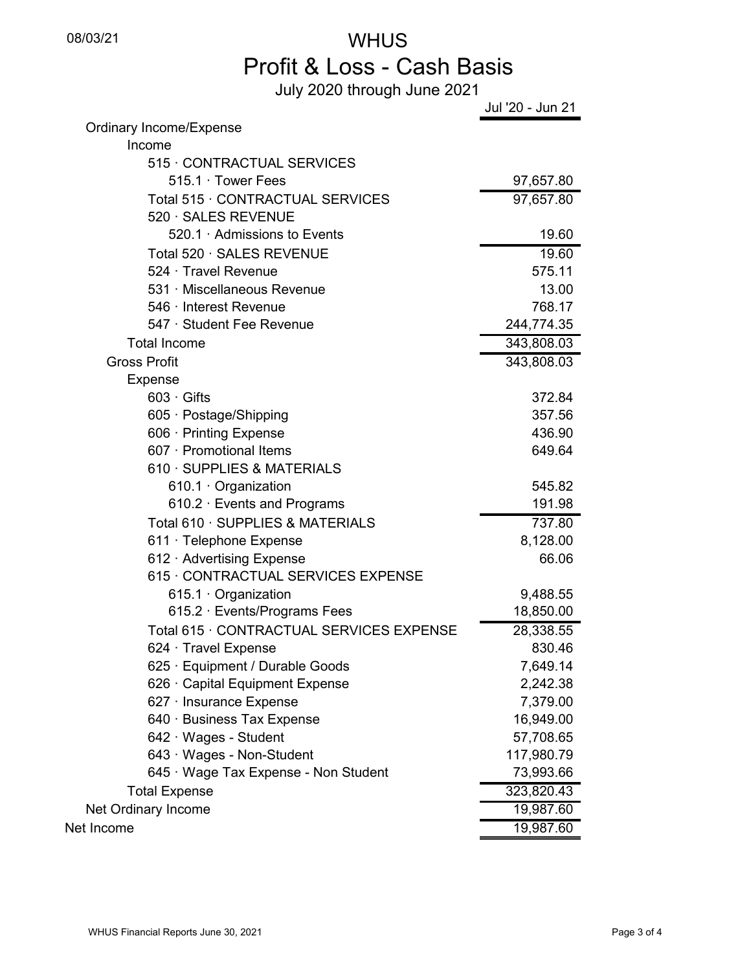# 08/03/21 WHUS Profit & Loss - Cash Basis

July 2020 through June 2021

|                                          | Jul '20 - Jun 21       |
|------------------------------------------|------------------------|
| Ordinary Income/Expense                  |                        |
| Income                                   |                        |
| 515 CONTRACTUAL SERVICES                 |                        |
| 515.1 Tower Fees                         | 97,657.80              |
| Total 515 CONTRACTUAL SERVICES           | $\overline{97},657.80$ |
| 520 · SALES REVENUE                      |                        |
| 520.1 Admissions to Events               | 19.60                  |
| Total 520 · SALES REVENUE                | 19.60                  |
| 524 · Travel Revenue                     | 575.11                 |
| 531 · Miscellaneous Revenue              | 13.00                  |
| 546 · Interest Revenue                   | 768.17                 |
| 547 · Student Fee Revenue                | 244,774.35             |
| <b>Total Income</b>                      | 343,808.03             |
| <b>Gross Profit</b>                      | 343,808.03             |
| Expense                                  |                        |
| $603 \cdot$ Gifts                        | 372.84                 |
| 605 · Postage/Shipping                   | 357.56                 |
| 606 · Printing Expense                   | 436.90                 |
| 607 · Promotional Items                  | 649.64                 |
| 610 · SUPPLIES & MATERIALS               |                        |
| 610.1 Organization                       | 545.82                 |
| 610.2 · Events and Programs              | 191.98                 |
| Total 610 · SUPPLIES & MATERIALS         | 737.80                 |
| 611 · Telephone Expense                  | 8,128.00               |
| 612 Advertising Expense                  | 66.06                  |
| 615 · CONTRACTUAL SERVICES EXPENSE       |                        |
| 615.1 Organization                       | 9,488.55               |
| 615.2 · Events/Programs Fees             | 18,850.00              |
| Total 615 · CONTRACTUAL SERVICES EXPENSE | 28,338.55              |
| 624 · Travel Expense                     | 830.46                 |
| 625 · Equipment / Durable Goods          | 7,649.14               |
| 626 · Capital Equipment Expense          | 2,242.38               |
| 627 · Insurance Expense                  | 7,379.00               |
| 640 · Business Tax Expense               | 16,949.00              |
| 642 · Wages - Student                    | 57,708.65              |
| 643 · Wages - Non-Student                | 117,980.79             |
| 645 · Wage Tax Expense - Non Student     | 73,993.66              |
| <b>Total Expense</b>                     | 323,820.43             |
| Net Ordinary Income                      | 19,987.60              |
| Net Income                               | 19,987.60              |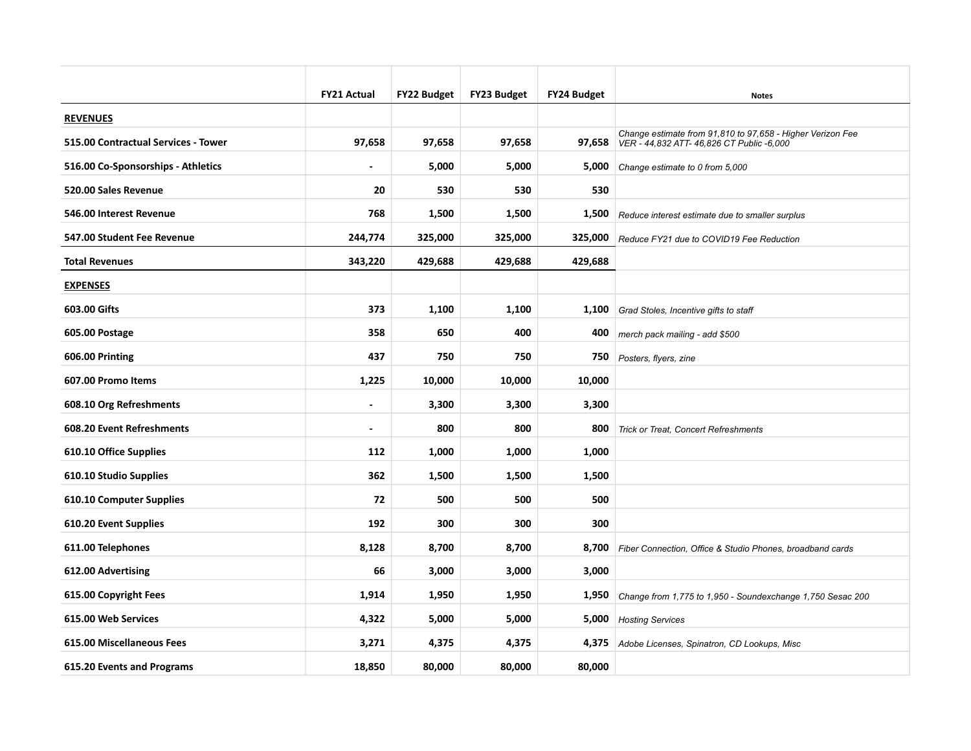|                                     | <b>FY21 Actual</b>       | <b>FY22 Budget</b> | <b>FY23 Budget</b> | FY24 Budget | <b>Notes</b>                                                                                                     |
|-------------------------------------|--------------------------|--------------------|--------------------|-------------|------------------------------------------------------------------------------------------------------------------|
| <b>REVENUES</b>                     |                          |                    |                    |             |                                                                                                                  |
| 515.00 Contractual Services - Tower | 97,658                   | 97,658             | 97,658             |             | Change estimate from 91,810 to 97,658 - Higher Verizon Fee<br>97,658   VER - 44,832 ATT- 46,826 CT Public -6,000 |
| 516.00 Co-Sponsorships - Athletics  |                          | 5,000              | 5,000              | 5,000       | Change estimate to 0 from 5,000                                                                                  |
| 520.00 Sales Revenue                | 20                       | 530                | 530                | 530         |                                                                                                                  |
| 546.00 Interest Revenue             | 768                      | 1,500              | 1,500              | 1,500       | Reduce interest estimate due to smaller surplus                                                                  |
| 547.00 Student Fee Revenue          | 244,774                  | 325,000            | 325,000            |             | 325,000 Reduce FY21 due to COVID19 Fee Reduction                                                                 |
| <b>Total Revenues</b>               | 343,220                  | 429,688            | 429,688            | 429,688     |                                                                                                                  |
| <b>EXPENSES</b>                     |                          |                    |                    |             |                                                                                                                  |
| 603.00 Gifts                        | 373                      | 1,100              | 1,100              |             | 1,100 Grad Stoles, Incentive gifts to staff                                                                      |
| 605.00 Postage                      | 358                      | 650                | 400                | 400         | merch pack mailing - add \$500                                                                                   |
| 606.00 Printing                     | 437                      | 750                | 750                | 750         | Posters, flyers, zine                                                                                            |
| 607.00 Promo Items                  | 1,225                    | 10,000             | 10,000             | 10,000      |                                                                                                                  |
| 608.10 Org Refreshments             | $\overline{\phantom{a}}$ | 3,300              | 3,300              | 3,300       |                                                                                                                  |
| 608.20 Event Refreshments           | $\blacksquare$           | 800                | 800                | 800         | Trick or Treat, Concert Refreshments                                                                             |
| 610.10 Office Supplies              | 112                      | 1,000              | 1,000              | 1,000       |                                                                                                                  |
| 610.10 Studio Supplies              | 362                      | 1,500              | 1,500              | 1,500       |                                                                                                                  |
| 610.10 Computer Supplies            | 72                       | 500                | 500                | 500         |                                                                                                                  |
| 610.20 Event Supplies               | 192                      | 300                | 300                | 300         |                                                                                                                  |
| 611.00 Telephones                   | 8,128                    | 8,700              | 8,700              |             | 8,700 Fiber Connection, Office & Studio Phones, broadband cards                                                  |
| 612.00 Advertising                  | 66                       | 3,000              | 3,000              | 3,000       |                                                                                                                  |
| 615.00 Copyright Fees               | 1,914                    | 1,950              | 1,950              | 1,950       | Change from 1,775 to 1,950 - Soundexchange 1,750 Sesac 200                                                       |
| 615.00 Web Services                 | 4,322                    | 5,000              | 5,000              | 5,000       | <b>Hosting Services</b>                                                                                          |
| 615.00 Miscellaneous Fees           | 3,271                    | 4,375              | 4,375              |             | 4,375 Adobe Licenses, Spinatron, CD Lookups, Misc                                                                |
| 615.20 Events and Programs          | 18,850                   | 80,000             | 80.000             | 80,000      |                                                                                                                  |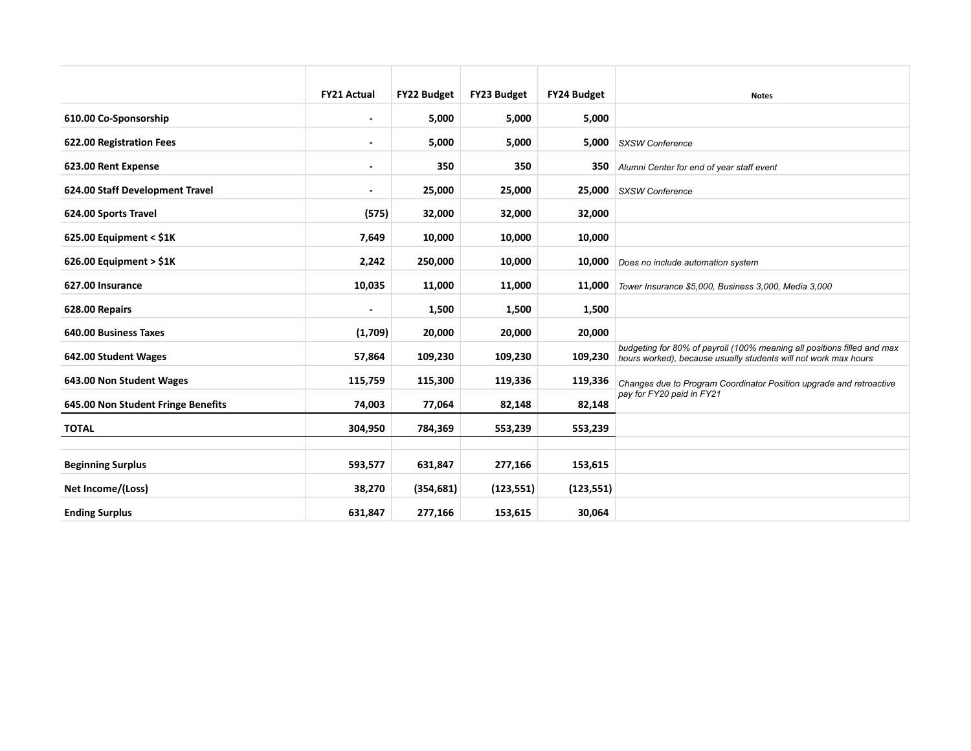|                                    | <b>FY21 Actual</b>       | <b>FY22 Budget</b> | FY23 Budget | <b>FY24 Budget</b> | <b>Notes</b>                                                                                                                               |
|------------------------------------|--------------------------|--------------------|-------------|--------------------|--------------------------------------------------------------------------------------------------------------------------------------------|
| 610.00 Co-Sponsorship              | ٠                        | 5,000              | 5,000       | 5,000              |                                                                                                                                            |
| 622.00 Registration Fees           | $\overline{\phantom{a}}$ | 5,000              | 5,000       | 5,000              | <b>SXSW Conference</b>                                                                                                                     |
| 623.00 Rent Expense                | -                        | 350                | 350         |                    | 350 Alumni Center for end of year staff event                                                                                              |
| 624.00 Staff Development Travel    | ٠                        | 25,000             | 25,000      | 25,000             | <b>SXSW Conference</b>                                                                                                                     |
| 624.00 Sports Travel               | (575)                    | 32,000             | 32,000      | 32,000             |                                                                                                                                            |
| 625.00 Equipment < $$1K$           | 7,649                    | 10,000             | 10,000      | 10,000             |                                                                                                                                            |
| $626.00$ Equipment > \$1K          | 2,242                    | 250,000            | 10,000      | 10,000             | Does no include automation system                                                                                                          |
| 627.00 Insurance                   | 10,035                   | 11,000             | 11,000      | 11,000             | Tower Insurance \$5,000, Business 3,000, Media 3,000                                                                                       |
| 628.00 Repairs                     | ٠                        | 1,500              | 1,500       | 1,500              |                                                                                                                                            |
| 640.00 Business Taxes              | (1,709)                  | 20,000             | 20,000      | 20,000             |                                                                                                                                            |
| 642.00 Student Wages               | 57,864                   | 109,230            | 109,230     | 109,230            | budgeting for 80% of payroll (100% meaning all positions filled and max<br>hours worked), because usually students will not work max hours |
| 643.00 Non Student Wages           | 115,759                  | 115,300            | 119,336     | 119,336            | Changes due to Program Coordinator Position upgrade and retroactive                                                                        |
| 645.00 Non Student Fringe Benefits | 74,003                   | 77,064             | 82,148      | 82,148             | pay for FY20 paid in FY21                                                                                                                  |
| <b>TOTAL</b>                       | 304,950                  | 784,369            | 553,239     | 553,239            |                                                                                                                                            |
|                                    |                          |                    |             |                    |                                                                                                                                            |
| <b>Beginning Surplus</b>           | 593,577                  | 631,847            | 277,166     | 153,615            |                                                                                                                                            |
| Net Income/(Loss)                  | 38,270                   | (354, 681)         | (123, 551)  | (123, 551)         |                                                                                                                                            |
| <b>Ending Surplus</b>              | 631,847                  | 277,166            | 153,615     | 30,064             |                                                                                                                                            |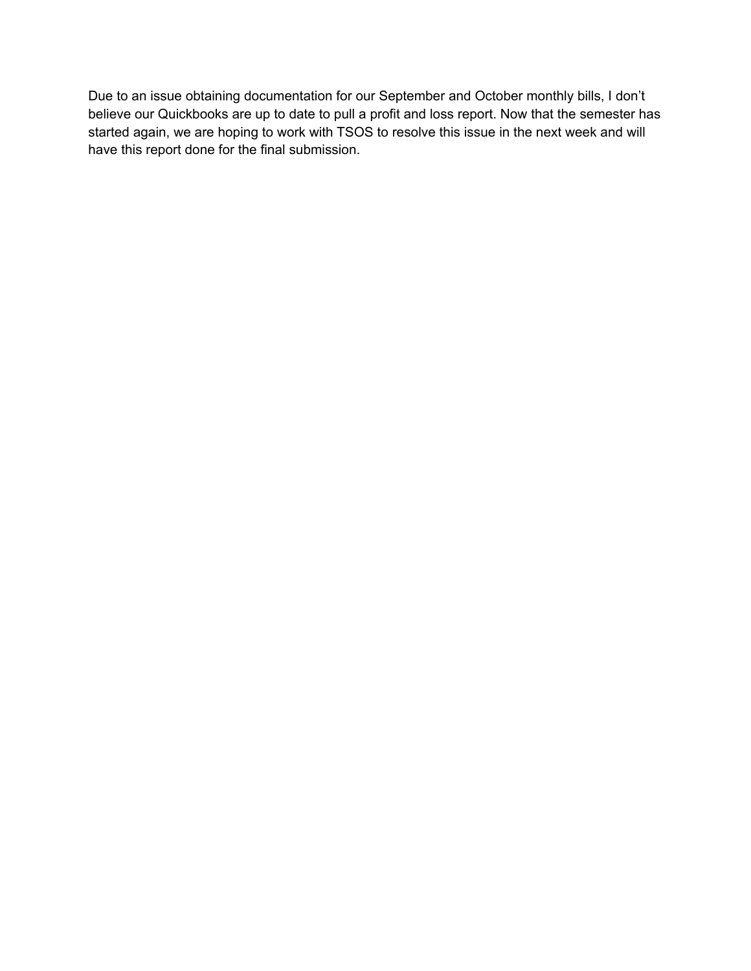Due to an issue obtaining documentation for our September and October monthly bills, I don't believe our Quickbooks are up to date to pull a profit and loss report. Now that the semester has started again, we are hoping to work with TSOS to resolve this issue in the next week and will have this report done for the final submission.